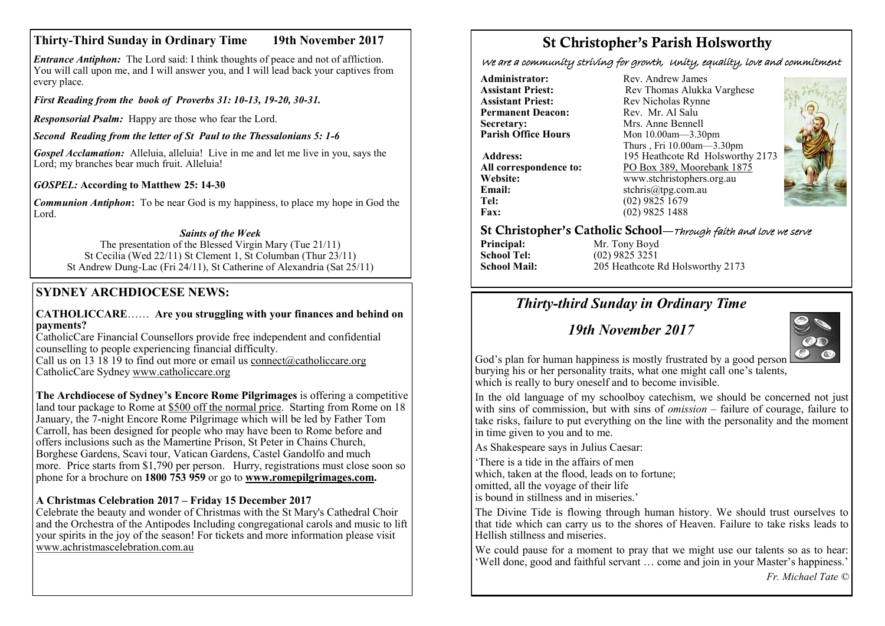## **Thirty-Third Sunday in Ordinary Time 19th November 2017**

*Entrance Antiphon:* The Lord said: I think thoughts of peace and not of affliction. You will call upon me, and I will answer you, and I will lead back your captives from every place.

*First Reading from the book of Proverbs 31: 10-13, 19-20, 30-31.*

*Responsorial Psalm:* Happy are those who fear the Lord.

*Second Reading from the letter of St Paul to the Thessalonians 5: 1-6*

*Gospel Acclamation:* Alleluia, alleluia! Live in me and let me live in you, says the Lord; my branches bear much fruit. Alleluia!

*GOSPEL:* **According to Matthew 25: 14-30**

*Communion Antiphon***:** To be near God is my happiness, to place my hope in God the Lord.

### *Saints of the Week*

The presentation of the Blessed Virgin Mary (Tue 21/11) St Cecilia (Wed 22/11) St Clement 1, St Columban (Thur 23/11) St Andrew Dung-Lac (Fri 24/11), St Catherine of Alexandria (Sat 25/11)

## **SYDNEY ARCHDIOCESE NEWS:**

### **CATHOLICCARE**…… **Are you struggling with your finances and behind on payments?**

CatholicCare Financial Counsellors provide free independent and confidential counselling to people experiencing financial difficulty.

Call us on  $\overline{13}$   $\overline{18}$   $\overline{19}$  to find out more or email us [connect@catholiccare.org](mailto:connect@catholiccare.org) CatholicCare Sydney [www.catholiccare.org](http://www.catholiccare.org)

**The Archdiocese of Sydney's Encore Rome Pilgrimages** is offering a competitive land tour package to Rome at \$500 off the normal price. Starting from Rome on 18 January, the 7-night Encore Rome Pilgrimage which will be led by Father Tom Carroll, has been designed for people who may have been to Rome before and offers inclusions such as the Mamertine Prison, St Peter in Chains Church, Borghese Gardens, Scavi tour, Vatican Gardens, Castel Gandolfo and much more. Price starts from \$1,790 per person. Hurry, registrations must close soon so phone for a brochure on **1800 753 959** or go to **[www.romepilgrimages.com.](http://www.romepilgrimages.com)**

### **A Christmas Celebration 2017 – Friday 15 December 2017**

Celebrate the beauty and wonder of Christmas with the St Mary's Cathedral Choir and the Orchestra of the Antipodes Including congregational carols and music to lift your spirits in the joy of the season! For tickets and more information please visit [www.achristmascelebration.com.au](http://www.achristmascelebration.com.au)

# St Christopher's Parish Holsworthy

We are a community striving for growth, Unity, equality, love and commitment

**Administrator:** Rev. Andrew James<br> **Assistant Priest:** Rev. Thomas Alukka **Permanent Deacon:**<br>Secretary: **Secretary:** Mrs. Anne Bennell<br>**Parish Office Hours** Mon 10.00am—3.30

**Email:** stchris@tpg.com.au<br> **Tel:** (02) 9825 1679 Tel: (02) 9825 1679<br> **Fax:** (02) 9825 1488

**Assistant Priest: Rev Thomas Alukka Varghese**<br>**Assistant Priest: Rev Nicholas Rynne** Rev Nicholas Rynne<br>Rev Mr Al Salu **Parish Office Hours** Mon 10.00am—3.30pm Thurs , Fri 10.00am—3.30pm **Address:** 195 Heathcote Rd Holsworthy 2173 **All correspondence to:** PO Box 389, Moorebank 1875<br>Website: www.stchristophers.org.au **Website:** www.stchristophers.org.au<br> **Email:** stchris@tng.com au **Fax:** (02) 9825 1488



### St Christopher's Catholic School—Through faith and love we serve

**Principal:** Mr. Tony Boyd<br> **School Tel:** (02) 9825 3251 **School Tel:** (02) 9825 3251<br>**School Mail:** 205 Heathcote I **School Mail:** 205 Heathcote Rd Holsworthy 2173

# *Thirty-third Sunday in Ordinary Time*

# *19th November 2017*



God's plan for human happiness is mostly frustrated by a good person burying his or her personality traits, what one might call one's talents, which is really to bury oneself and to become invisible.

In the old language of my schoolboy catechism, we should be concerned not just with sins of commission, but with sins of *omission* – failure of courage, failure to take risks, failure to put everything on the line with the personality and the moment in time given to you and to me.

As Shakespeare says in Julius Caesar:

'There is a tide in the affairs of men which, taken at the flood, leads on to fortune; omitted, all the voyage of their life is bound in stillness and in miseries.'

The Divine Tide is flowing through human history. We should trust ourselves to that tide which can carry us to the shores of Heaven. Failure to take risks leads to Hellish stillness and miseries.

We could pause for a moment to pray that we might use our talents so as to hear: 'Well done, good and faithful servant … come and join in your Master's happiness.'

*Fr. Michael Tate ©*